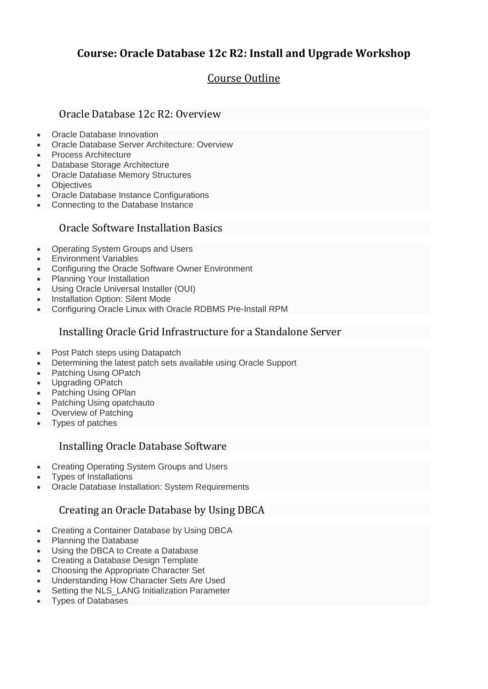# **Course: Oracle Database 12c R2: Install and Upgrade Workshop**

# Course Outline

#### Oracle Database 12c R2: Overview

- Oracle Database Innovation
- Oracle Database Server Architecture: Overview
- Process Architecture
- Database Storage Architecture
- Oracle Database Memory Structures
- **Objectives**
- Oracle Database Instance Configurations
- Connecting to the Database Instance

#### Oracle Software Installation Basics

- Operating System Groups and Users
- Environment Variables
- Configuring the Oracle Software Owner Environment
- Planning Your Installation
- Using Oracle Universal Installer (OUI)
- Installation Option: Silent Mode
- Configuring Oracle Linux with Oracle RDBMS Pre-Install RPM

#### Installing Oracle Grid Infrastructure for a Standalone Server

- Post Patch steps using Datapatch
- Determining the latest patch sets available using Oracle Support
- Patching Using OPatch
- Upgrading OPatch
- Patching Using OPlan
- Patching Using opatchauto
- Overview of Patching
- Types of patches

#### Installing Oracle Database Software

- Creating Operating System Groups and Users
- Types of Installations
- Oracle Database Installation: System Requirements

### Creating an Oracle Database by Using DBCA

- Creating a Container Database by Using DBCA
- Planning the Database
- Using the DBCA to Create a Database
- Creating a Database Design Template
- Choosing the Appropriate Character Set
- Understanding How Character Sets Are Used
- Setting the NLS\_LANG Initialization Parameter
- Types of Databases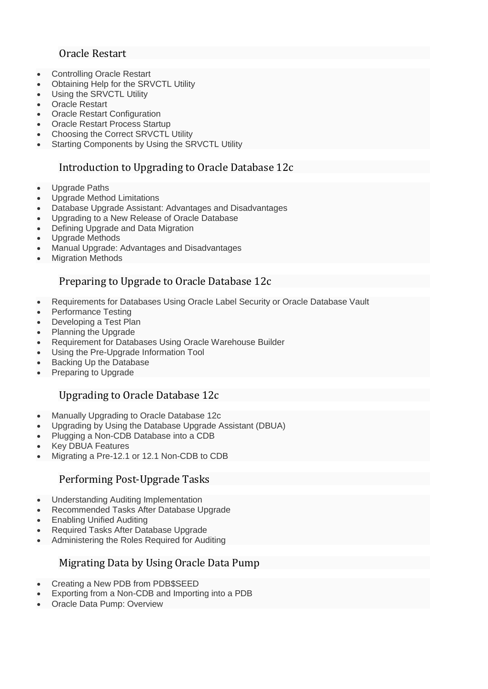## Oracle Restart

- Controlling Oracle Restart
- Obtaining Help for the SRVCTL Utility
- Using the SRVCTL Utility
- Oracle Restart
- **Oracle Restart Configuration**
- Oracle Restart Process Startup
- Choosing the Correct SRVCTL Utility
- Starting Components by Using the SRVCTL Utility

## Introduction to Upgrading to Oracle Database 12c

- Upgrade Paths
- Upgrade Method Limitations
- Database Upgrade Assistant: Advantages and Disadvantages
- Upgrading to a New Release of Oracle Database
- Defining Upgrade and Data Migration
- Upgrade Methods
- Manual Upgrade: Advantages and Disadvantages
- Migration Methods

# Preparing to Upgrade to Oracle Database 12c

- Requirements for Databases Using Oracle Label Security or Oracle Database Vault
- Performance Testing
- Developing a Test Plan
- Planning the Upgrade
- Requirement for Databases Using Oracle Warehouse Builder
- Using the Pre-Upgrade Information Tool
- Backing Up the Database
- Preparing to Upgrade

## Upgrading to Oracle Database 12c

- Manually Upgrading to Oracle Database 12c
- Upgrading by Using the Database Upgrade Assistant (DBUA)
- Plugging a Non-CDB Database into a CDB
- Key DBUA Features
- Migrating a Pre-12.1 or 12.1 Non-CDB to CDB

### Performing Post-Upgrade Tasks

- Understanding Auditing Implementation
- Recommended Tasks After Database Upgrade
- Enabling Unified Auditing
- Required Tasks After Database Upgrade
- Administering the Roles Required for Auditing

## Migrating Data by Using Oracle Data Pump

- Creating a New PDB from PDB\$SEED
- Exporting from a Non-CDB and Importing into a PDB
- Oracle Data Pump: Overview